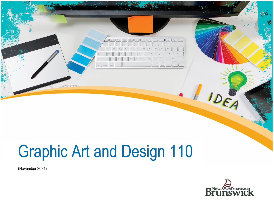

# Graphic Art and Design 110

(November 2021)

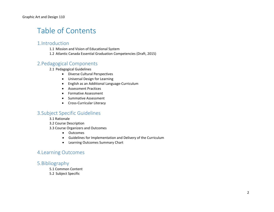# Table of Contents

## 1.Introduction

1.1 Mission and Vision of Educational System

1.2 Atlantic Canada Essential Graduation Competencies (Draft, 2015)

# 2.Pedagogical Components

#### 2.1 Pedagogical Guidelines

- Diverse Cultural Perspectives
- Universal Design for Learning
- English as an Additional Language-Curriculum
- Assessment Practices
- Formative Assessment
- Summative Assessment
- Cross-Curricular Literacy

# 3.Subject Specific Guidelines

3.1 Rationale

- 3.2 Course Description
- 3.3 Course Organizers and Outcomes
	- Outcomes
	- Guidelines for Implementation and Delivery of the Curriculum
	- Learning Outcomes Summary Chart

# 4.Learning Outcomes

## 5.Bibliography

- 5.1 Common Content
- 5.2 Subject Specific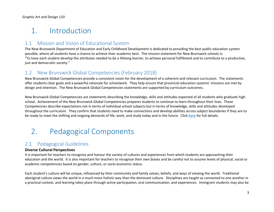# 1. Introduction

# 1.1 Mission and Vision of Educational System

The New Brunswick Department of Education and Early Childhood Development is dedicated to providing the best public education system possible, where all students have a chance to achieve their academic best. The mission statement for New Brunswick schools is: "To have each student develop the attributes needed to be a lifelong learner, to achieve personal fulfillment and to contribute to a productive, just and democratic society."

# 1.2 New Brunswick Global Competencies (February 2018)

New Brunswick Global Competencies provide a consistent vision for the development of a coherent and relevant curriculum. The statements offer students clear goals and a powerful rationale for schoolwork. They help ensure that provincial education systems' missions are met by design and intention. The New Brunswick Global Competencies statements are supported by curriculum outcomes.

New Brunswick Global Competencies are statements describing the knowledge, skills and attitudes expected of all students who graduate high school. Achievement of the New Brunswick Global Competencies prepares students to continue to learn throughout their lives. These Competencies describe expectations not in terms of individual school subjects but in terms of knowledge, skills and attitudes developed throughout the curriculum. They confirm that students need to make connections and develop abilities across subject boundaries if they are to be ready to meet the shifting and ongoing demands of life, work, and study today and in the future. Click [here](https://www2.gnb.ca/content/gnb/en/departments/education/k12/content/anglophone_sector/curriculum_anglophone.html#4) for full details.

# 2. Pedagogical Components

# 2.1 Pedagogical Guidelines

## **Diverse Cultural Perspectives**

It is important for teachers to recognize and honour the variety of cultures and experiences from which students are approaching their education and the world. It is also important for teachers to recognize their own biases and be careful not to assume levels of physical, social or academic competencies based on gender, culture, or socio-economic status.

Each student's culture will be unique, influenced by their community and family values, beliefs, and ways of viewing the world. Traditional aboriginal culture views the world in a much more holistic way than the dominant culture. Disciplines are taught as connected to one another in a practical context, and learning takes place through active participation, oral communication, and experiences. Immigrant students may also be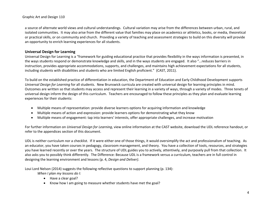#### Graphic Art and Design 110

a source of alternate world views and cultural understandings. Cultural variation may arise from the differences between urban, rural, and isolated communities. It may also arise from the different value that families may place on academics or athletics, books, or media, theoretical or practical skills, or on community and church. Providing a variety of teaching and assessment strategies to build on this diversity will provide an opportunity to enrich learning experiences for all students.

#### **Universal Design for Learning**

Universal Design for Learning is a "framework for guiding educational practice that provides flexibility in the ways information is presented, in the ways students respond or demonstrate knowledge and skills, and in the ways students are engaged. It also "...reduces barriers in instruction, provides appropriate accommodations, supports, and challenges, and maintains high achievement expectations for all students, including students with disabilities and students who are limited English proficient." (CAST, 2011).

To build on the established practice of differentiation in education, the Department of Education and Early Childhood Development supports *Universal Design for Learning* for all students. New Brunswick curricula are created with universal design for learning principles in mind. Outcomes are written so that students may access and represent their learning in a variety of ways, through a variety of modes. Three tenets of universal design inform the design of this curriculum. Teachers are encouraged to follow these principles as they plan and evaluate learning experiences for their students:

- Multiple means of representation: provide diverse learners options for acquiring information and knowledge
- Multiple means of action and expression: provide learners options for demonstrating what they know
- Multiple means of engagement: tap into learners' interests, offer appropriate challenges, and increase motivation

For further information on *Universal Design for Learning*, view online information at [the C](http://www.cast.org/)AST website, download the [UDL reference handout,](https://portal.nbed.nb.ca/pd/Reading/UDL_PD/UDL%20Docs/October%20PD%20Day/Oct%2010%20Intro/Oct10_Intro%20output/story_content/external_files/Quick_Reference.pdf) or refer to the appendices section of this document.

UDL is neither curriculum nor a checklist. If it were either one of those things, it would oversimplify the act and professionalism of teaching. As an educator, you have taken courses in pedagogy, classroom management, and theory. You have a collection of tools, resources, and strategies you have learned recently or over the years. The structure of UDL guides you to actively, attentively, and purposely pull from that collection. It also asks you to possibly think differently. The Difference: Because UDL is a framework versus a curriculum, teachers are in full control in designing the learning environment and lessons (p. 4, *Design and Deliver)*.

Loui Lord Nelson (2014) suggests the following reflective questions to support planning (p. 134):

*When I plan my lessons do I:*

- Have a clear goal?
- Know how I am going to measure whether students have met the goal?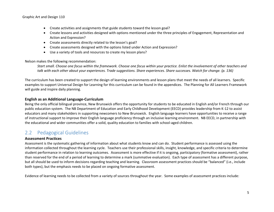- Create activities and assignments that guide students toward the lesson goal?
- Create lessons and activities designed with options mentioned under the three principles of Engagement, Representation and Action and Expression?
- Create assessments directly related to the lesson's goal?
- Create assessments designed with the options listed under Action and Expression?
- Use a variety of tools and resources to create my lesson plans?

Nelson makes the following recommendation:

*Start small. Choose one focus within the framework. Choose one focus within your practice. Enlist the involvement of other teachers and talk with each other about your experiences. Trade suggestions. Share experiences. Share successes. Watch for change. (p. 136)*

The curriculum has been created to support the design of learning environments and lesson plans that meet the needs of all learners. Specific examples to support Universal Design for Learning for this curriculum can be found in the appendices. The Planning for All Learners Framework will guide and inspire daily planning.

#### **English as an Additional Language-Curriculum**

Being the only official bilingual province, New Brunswick offers the opportunity for students to be educated in English and/or French through our public education system. The NB Department of Education and Early Childhood Development (EECD) provides leadership from K-12 to assist educators and many stakeholders in supporting newcomers to New Brunswick. English language learners have opportunities to receive a range of instructional support to improve their English language proficiency through an inclusive learning environment. NB EECD, in partnership with the educational and wider communities offer a solid, quality education to families with school-aged children.

# 2.2 Pedagogical Guidelines

#### **Assessment Practices**

Assessment is the systematic gathering of information about what students know and can do. Student performance is assessed using the information collected throughout the learning cycle. Teachers use their professional skills, insight, knowledge, and specific criteria to determine student performance in relation to learning outcomes. Assessment is more effective if it is ongoing, participatory (formative assessment), rather than reserved for the end of a period of learning to determine a mark (summative evaluation). Each type of assessment has a different purpose, but all should be used to inform decisions regarding teaching and learning. Classroom assessment practices should be "[balanced](https://portal.nbed.nb.ca/tr/AaE/Documents/FINAL%20Balanced%20Assessment%20Doc%20April%208%202014.pdf)" (i.e., include both types), but the emphasis needs to be placed on ongoing formative assessment.

Evidence of learning needs to be collected from a variety of sources throughout the year. Some examples of assessment practices include: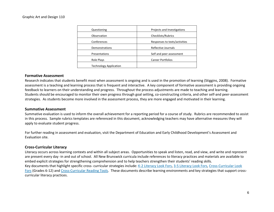| Questioning                   | Projects and Investigations   |
|-------------------------------|-------------------------------|
| Observation                   | Checklists/Rubrics            |
| Conferences                   | Responses to texts/activities |
| <b>Demonstrations</b>         | Reflective Journals           |
| Presentations                 | Self and peer assessment      |
| Role Plays                    | <b>Career Portfolios</b>      |
| <b>Technology Application</b> |                               |
|                               |                               |

#### **Formative Assessment**

Research indicates that students benefit most when assessment is ongoing and is used in the promotion of learning (Stiggins, 2008). Formative assessment is a teaching and learning process that is frequent and interactive. A key component of formative assessment is providing ongoing feedback to learners on their understanding and progress. Throughout the process adjustments are made to teaching and learning. Students should be encouraged to monitor their own progress through goal setting, co-constructing criteria, and other self-and peer-assessment strategies. As students become more involved in the assessment process, they are more engaged and motivated in their learning.

#### **Summative Assessment**

Summative evaluation is used to inform the overall achievement for a reporting period for a course of study. Rubrics are recommended to assist in this process. Sample rubrics templates are referenced in this document, acknowledging teachers may have alternative measures they will apply to evaluate student progress.

For further reading in assessment and evaluation, visit the Department of Education and Early Childhood Development's Assessment and Evaluation site.

#### **Cross-Curricular Literacy**

Literacy occurs across learning contexts and within all subject areas. Opportunities to speak and listen, read, and view, and write and represent are present every day -in and out of school. All New Brunswick curricula include references to literacy practices and materials are available to embed explicit strategies for strengthening comprehension and to help teachers strengthen their students' reading skills. Key documents that highlight specific cross- curricular strategies include: K-2 Literacy Look Fors, 3-5 Literacy Look Fors, Cross-Curricular Look Fors (Grades 6-12) and Cross-Curricular Reading Tools. These documents describe learning environments and key strategies that support crosscurricular literacy practices.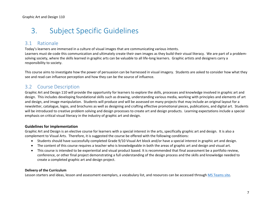# 3. Subject Specific Guidelines

# 3.1 Rationale

Today's learners are immersed in a culture of visual images that are communicating various intents. Learners must de-code this communication and ultimately create their own images as they build their visual literacy. We are part of a problemsolving society, where the skills learned in graphic arts can be valuable to all life-long learners. Graphic artists and designers carry a responsibility to society.

This course aims to investigate how the power of persuasion can be harnessed in visual imagery. Students are asked to consider how what they see and read can influence perception and how they can be the source of influence.

# 3.2 Course Description

Graphic Art and Design 110 will provide the opportunity for learners to explore the skills, processes and knowledge involved in graphic art and design. This includes developing foundational skills such as drawing, understanding various media, working with principles and elements of art and design, and image manipulation. Students will produce and will be assessed on many projects that may include an original layout for a newsletter, catalogue, logos, and brochures as well as designing and crafting effective promotional pieces, publications, and digital art. Students will be introduced to creative problem solving and design processes to create art and design products. Learning expectations include a special emphasis on critical visual literacy in the industry of graphic art and design.

## **Guidelines for implementation**

Graphic Art and Design is an elective course for learners with a special interest in the arts, specifically graphic art and design. It is also a complement to Visual Arts. Therefore, it is suggested the course be offered with the following conditions:

- Students should have successfully completed Grade 9/10 Visual Art block and/or have a special interest in graphic art and design.
- The content of this course requires a teacher who is knowledgeable in both the areas of graphic art and design and visual art.
- This course is intended to be experiential and visual product based. It is recommended that final assessment be a portfolio review, conference, or other final project demonstrating a full understanding of the design process and the skills and knowledge needed to create a completed graphic art and design project.

## **Delivery of the Curriculum**

Lesson starters and ideas, lesson and assessment exemplars, a vocabulary list, and resources can be accessed through [MS Teams site.](https://teams.microsoft.com/l/team/19%3add8b61cf78894a1ba80590d40ef6e761%40thread.tacv2/conversations?groupId=de5e9141-a3d7-4163-b874-43fec1a8cba8&tenantId=4d2b5fdf-c4d2-4911-8709-68cc2f465c9f)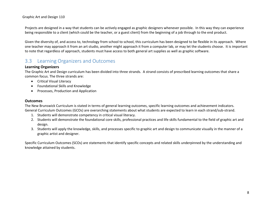Graphic Art and Design 110

Projects are designed in a way that students can be actively engaged as graphic designers whenever possible. In this way they can experience being responsible to a client (which could be the teacher, or a guest client) from the beginning of a job through to the end product.

Given the diversity of, and access to, technology from school to school, this curriculum has been designed to be flexible in its approach. Where one teacher may approach it from an art studio, another might approach it from a computer lab, or may let the students choose. It is important to note that regardless of approach, students must have access to both general art supplies as well as graphic software.

# 3.3 Learning Organizers and Outcomes

#### **Learning Organizers**

The Graphic Art and Design curriculum has been divided into three strands. A strand consists of prescribed learning outcomes that share a common focus. The three strands are:

- Critical Visual Literacy
- Foundational Skills and Knowledge
- Processes, Production and Application

#### **Outcomes**

The New Brunswick Curriculum is stated in terms of general learning outcomes, specific learning outcomes and achievement indicators. General Curriculum Outcomes (GCOs) are overarching statements about what students are expected to learn in each strand/sub-strand.

- 1. Students will demonstrate competency in critical visual literacy.
- 2. Students will demonstrate the foundational core skills, professional practices and life skills fundamental to the field of graphic art and design.
- 3. Students will apply the knowledge, skills, and processes specific to graphic art and design to communicate visually in the manner of a graphic artist and designer.

Specific Curriculum Outcomes (SCOs) are statements that identify specific concepts and related skills underpinned by the understanding and knowledge attained by students.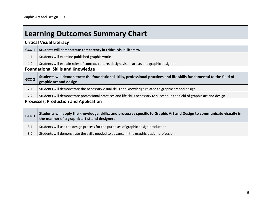# **Learning Outcomes Summary Chart**

## **Critical Visual Literacy**

| GCO <sub>1</sub> | Students will demonstrate competency in critical visual literacy.                              |
|------------------|------------------------------------------------------------------------------------------------|
| 1.1              | Students will examine published graphic works.                                                 |
| 1.2              | Students will explain roles of context, culture, design, visual artists and graphic designers. |
|                  | <b>Foundational Skills and Knowledge</b>                                                       |

# **GCO 2 Students will demonstrate the foundational skills, professional practices and life skills fundamental to the field of graphic art and design.** 2.1 Students will demonstrate the necessary visual skills and knowledge related to graphic art and design. 2.2 Students will demonstrate professional practices and life skills necessary to succeed in the field of graphic art and design.

## **Processes, Production and Application**

| GCO <sub>3</sub> | Students will apply the knowledge, skills, and processes specific to Graphic Art and Design to communicate visually in<br>the manner of a graphic artist and designer. |
|------------------|------------------------------------------------------------------------------------------------------------------------------------------------------------------------|
| 3.1              | Students will use the design process for the purposes of graphic design production.                                                                                    |
| 3.2              | Students will demonstrate the skills needed to advance in the graphic design profession.                                                                               |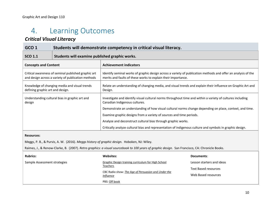# 4. Learning Outcomes

# *Critical Visual Literacy*

| GCO <sub>1</sub>                 | Students will demonstrate competency in critical visual literacy.                                         |                                                                                                                                                                                |
|----------------------------------|-----------------------------------------------------------------------------------------------------------|--------------------------------------------------------------------------------------------------------------------------------------------------------------------------------|
| <b>SCO 1.1</b>                   | Students will examine published graphic works.                                                            |                                                                                                                                                                                |
| <b>Concepts and Content</b>      |                                                                                                           | <b>Achievement indicators</b>                                                                                                                                                  |
|                                  | Critical awareness of seminal published graphic art<br>and design across a variety of publication methods | Identify seminal works of graphic design across a variety of publication methods and offer an analysis of the<br>merits and faults of these works to explain their importance. |
| defining graphic art and design. | Knowledge of changing media and visual trends                                                             | Relate an understanding of changing media, and visual trends and explain their influence on Graphic Art and<br>Design.                                                         |
| design                           | Understanding cultural bias in graphic art and                                                            | Investigate and identify visual cultural norms throughout time and within a variety of cultures including<br>Canadian Indigenous cultures.                                     |
|                                  |                                                                                                           | Demonstrate an understanding of how visual cultural norms change depending on place, context, and time.                                                                        |
|                                  |                                                                                                           | Examine graphic designs from a variety of sources and time periods.                                                                                                            |
|                                  |                                                                                                           | Analyze and deconstruct cultural bias through graphic works.                                                                                                                   |
|                                  |                                                                                                           | Critically analyze cultural bias and representation of indigenous culture and symbols in graphic design.                                                                       |

#### **Resources:**

Meggs, P. B., & Purvis, A. W. (2016). *Meggs history of graphic design.* Hoboken, NJ: Wiley.

Raimes, J., & Renow-Clarke, B. (2007). *Retro graphics: a visual sourcebook to 100 years of graphic design.* San Francisco, CA: Chronicle Books.

| <b>Rubrics:</b>              | Websites:                                                               | Documents:                                         |
|------------------------------|-------------------------------------------------------------------------|----------------------------------------------------|
| Sample Assessment strategies | Graphic Design training curriculum for High School<br><b>Teachers</b>   | Lesson starters and ideas                          |
|                              | CBC Radio show: The Age of Persuasion and Under the<br><i>Influence</i> | <b>Text Based resources</b><br>Web Based resources |
|                              | PBS: Off book                                                           |                                                    |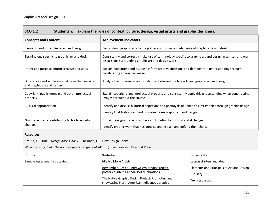| <b>SCO 1.2</b>                                                                                          | Students will explain the roles of context, culture, design, visual artists and graphic designers. |                                                                                                                                                                                   |                                           |
|---------------------------------------------------------------------------------------------------------|----------------------------------------------------------------------------------------------------|-----------------------------------------------------------------------------------------------------------------------------------------------------------------------------------|-------------------------------------------|
| <b>Concepts and Content</b>                                                                             |                                                                                                    | <b>Achievement Indicators</b>                                                                                                                                                     |                                           |
|                                                                                                         | Elements and principles of art and design                                                          | Deconstruct graphic arts to the primary principles and elements of graphic arts and design                                                                                        |                                           |
|                                                                                                         | Terminology specific to graphic art and design                                                     | Consistently and correctly make use of terminology specific to graphic art and design in written and oral<br>discussions surrounding graphic art and design work                  |                                           |
|                                                                                                         | Intent and purpose inform creative decisions                                                       | Explain how intent and purpose inform creative decisions and demonstrate understanding through<br>constructing an original image                                                  |                                           |
| and graphic art and design                                                                              | Differences and similarities between the fine arts                                                 | Analyze the differences and similarities between the fine arts and graphic art and design                                                                                         |                                           |
| property                                                                                                | Copyright, public domain and other intellectual                                                    | Explain copyright, and intellectual property and consistently apply this understanding when constructing<br>images throughout the course                                          |                                           |
| Cultural appropriation                                                                                  |                                                                                                    | Identify and discuss historical depictions and portrayals of Canada's First Peoples through graphic design<br>Identify First Nations artwork in mainstream graphic art and design |                                           |
| change.                                                                                                 | Graphic arts as a contributing factor to societal                                                  | Explain how graphic arts can be a contributing factor to societal change<br>Identify graphic work that has done so and explain and defend their choice                            |                                           |
| <b>Resources:</b>                                                                                       |                                                                                                    |                                                                                                                                                                                   |                                           |
|                                                                                                         | Krause, J. (2004). Design basics index. Cincinnati, OH: How Design Books.                          |                                                                                                                                                                                   |                                           |
| Williams, R. (2014). The non-designers design book (4 <sup>th</sup> Ed.). San Franciso: Peachpit Press. |                                                                                                    |                                                                                                                                                                                   |                                           |
| <b>Rubrics:</b>                                                                                         |                                                                                                    | <b>Websites:</b>                                                                                                                                                                  | <b>Documents:</b>                         |
| Sample Assessment strategies                                                                            |                                                                                                    | <b>Idle No More Artists</b>                                                                                                                                                       | Lesson starters and ideas                 |
|                                                                                                         |                                                                                                    | Remember, Resist, Redraw: Whitehorse artist's                                                                                                                                     | Elements and Principals of Art and Design |
|                                                                                                         |                                                                                                    | poster counters Canada 150 celebrations                                                                                                                                           | Glossary                                  |
|                                                                                                         |                                                                                                    | The Native Graphic Design Project. Promoting and<br>showcasing North American Indigenous graphic                                                                                  | Text resources                            |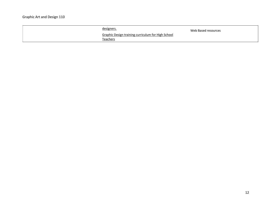| designers.                                         | Web Based resources |
|----------------------------------------------------|---------------------|
| Graphic Design training curriculum for High School |                     |
| <b>Teachers</b>                                    |                     |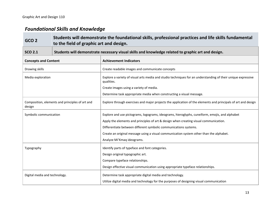## *Foundational Skills and Knowledge*

# **GCO 2 Students will demonstrate the foundational skills, professional practices and life skills fundamental to the field of graphic art and design. SCO 2.1 Students will demonstrate necessary visual skills and knowledge related to graphic art and design. Concepts and Content Achievement Indicators** Drawing skills Create readable images and communicate concepts Media exploration Explore a variety of visual arts media and studio techniques for an understanding of their unique expressive qualities. Create images using a variety of media. Determine task appropriate media when constructing a visual message. Composition, elements and principles of art and design Explore through exercises and major projects the application of the elements and principals of art and design Symbolic communication Explore and use pictograms, logograms, ideograms, hieroglyphs, cuneiform, emojis, and alphabet Apply the elements and principles of art & design when creating visual communication. Differentiate between different symbolic communications systems. Create an original message using a visual communication system other than the alphabet. Analyze Mi'Kmaq ideograms. Typography **Identify parts of typeface and font categories.** In the local parts of typeface and font categories. Design original typographic art. Compare typeface relationships. Design effective visual communication using appropriate typeface relationships. Digital media and technology. Determine task appropriate digital media and technology. Utilize digital media and technology for the purposes of designing visual communication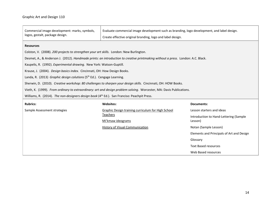$\overline{\phantom{a}}$ 

| Commercial image development: marks, symbols,                                                                  | Evaluate commercial image development such as branding, logo development, and label design.                                     |                                           |  |  |
|----------------------------------------------------------------------------------------------------------------|---------------------------------------------------------------------------------------------------------------------------------|-------------------------------------------|--|--|
| logos, gestalt, package design.                                                                                | Create effective original branding, logo and label design.                                                                      |                                           |  |  |
| <b>Resources</b>                                                                                               |                                                                                                                                 |                                           |  |  |
| Colston, V. (2008). 200 projects to strengthen your art skills. London: New Burlington.                        |                                                                                                                                 |                                           |  |  |
|                                                                                                                | Desmet, A., & Anderson J. (2012). Handmade prints: an introduction to creative printmaking without a press. London: A.C. Black. |                                           |  |  |
| Kaupelis, R. (1992). Experimental drawing. New York: Watson-Guptill.                                           |                                                                                                                                 |                                           |  |  |
| Krause, J. (2004). Design basics index. Cincinnati, OH: How Design Books.                                      |                                                                                                                                 |                                           |  |  |
| Landa, R. (2013) Graphic design colutions (5 <sup>th</sup> Ed.). Cengage Learning.                             |                                                                                                                                 |                                           |  |  |
| Sherwin, D. (2010). Creative workshop: 80 challenges to sharpen your design skills. Cincinnati, OH: HOW Books. |                                                                                                                                 |                                           |  |  |
|                                                                                                                | Vieth, K. (1999). From ordinary to extraordinary: art and design problem solving. Worcester, MA: Davis Publications.            |                                           |  |  |
| Williams, R. (2014). The non-designers design book (4 <sup>th</sup> Ed.). San Franciso: Peachpit Press.        |                                                                                                                                 |                                           |  |  |
| <b>Rubrics:</b><br><b>Websites:</b><br><b>Documents:</b>                                                       |                                                                                                                                 |                                           |  |  |
| Sample Assessment strategies                                                                                   | Graphic Design training curriculum for High School                                                                              | Lesson starters and ideas                 |  |  |
|                                                                                                                | <u>Teachers</u>                                                                                                                 | Introduction to Hand-Lettering (Sample    |  |  |
|                                                                                                                | Mi'kmaw ideograms                                                                                                               | Lesson)                                   |  |  |
|                                                                                                                | History of Visual Communication                                                                                                 | Notan (Sample Lesson)                     |  |  |
|                                                                                                                |                                                                                                                                 | Elements and Principals of Art and Design |  |  |
|                                                                                                                |                                                                                                                                 | Glossary                                  |  |  |
|                                                                                                                |                                                                                                                                 | <b>Text Based resources</b>               |  |  |
|                                                                                                                |                                                                                                                                 | Web Based resources                       |  |  |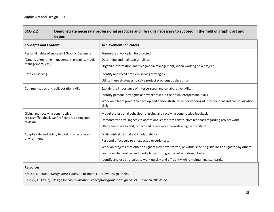| <b>SCO 2.2</b>                                                  | Demonstrate necessary professional practices and life skills necessary to succeed in the field of graphic art and<br>design. |                                                                                                                                                                                                                                                                                                                                                                                      |  |
|-----------------------------------------------------------------|------------------------------------------------------------------------------------------------------------------------------|--------------------------------------------------------------------------------------------------------------------------------------------------------------------------------------------------------------------------------------------------------------------------------------------------------------------------------------------------------------------------------------|--|
| <b>Concepts and Content</b>                                     |                                                                                                                              | <b>Achievement Indicators</b>                                                                                                                                                                                                                                                                                                                                                        |  |
| management, etc.)                                               | Personal habits of successful Graphic Designers<br>(Organization, time management, planning, media                           | Formulate a work plan for a project.<br>Determine and maintain timelines.<br>Organize information and files (media management) when working on a project.                                                                                                                                                                                                                            |  |
| Problem solving                                                 |                                                                                                                              | Identify and recall problem solving strategies.<br>Utilize these strategies to solve project problems as they arise.                                                                                                                                                                                                                                                                 |  |
|                                                                 | Communication and collaboration skills                                                                                       | Explain the importance of interpersonal and collaborative skills.<br>Identify personal strengths and weaknesses in their own interpersonal skills.<br>Work on a team project to develop and demonstrate an understanding of interpersonal and communication<br>skills                                                                                                                |  |
| Giving and receiving constructive<br>revision                   | criticism/feedback: Self-reflection, editing and                                                                             | Model professional behaviour of giving and receiving constructive feedback.<br>Demonstrate a willingness to accept and learn from constructive feedback regarding project work.<br>Utilize feedback to edit, reflect and revise work towards a higher standard                                                                                                                       |  |
| Adaptability and ability to work in a fast-paced<br>environment |                                                                                                                              | Distinguish skills that aid in adaptability.<br>Respond effectively to unexpected experiences.<br>Work on projects that other designers may have started, or within specific guidelines designated by others.<br>Learn new technology and media to perform graphic art and design tasks.<br>Identify and use strategies to work quickly and efficiently while maintaining standards. |  |
|                                                                 |                                                                                                                              |                                                                                                                                                                                                                                                                                                                                                                                      |  |

#### **Resources:**

Krause, J. (2004). *Design basics index.* Cincinnati, OH: How Design Books.

Resnick, E. (2003). *Design for communication: conceptual graphic design basics.* Hokoken, NJ: Wiley.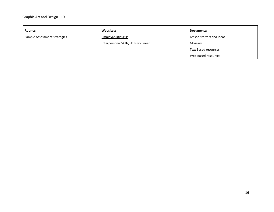| <b>Rubrics:</b>              | <b>Websites:</b>                     | Documents:                |
|------------------------------|--------------------------------------|---------------------------|
| Sample Assessment strategies | <b>Employability Skills</b>          | Lesson starters and ideas |
|                              | Interpersonal Skills/Skills you need | Glossary                  |
|                              |                                      | Text Based resources      |
|                              |                                      | Web Based resources       |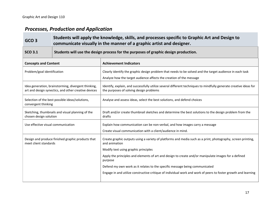# *Processes, Production and Application*

| GCO <sub>3</sub>                   | Students will apply the knowledge, skills, and processes specific to Graphic Art and Design to<br>communicate visually in the manner of a graphic artist and designer. |                                                                                                                                                                                 |
|------------------------------------|------------------------------------------------------------------------------------------------------------------------------------------------------------------------|---------------------------------------------------------------------------------------------------------------------------------------------------------------------------------|
| <b>SCO 3.1</b>                     | Students will use the design process for the purposes of graphic design production.                                                                                    |                                                                                                                                                                                 |
| <b>Concepts and Content</b>        |                                                                                                                                                                        | <b>Achievement Indicators</b>                                                                                                                                                   |
| Problem/goal identification        |                                                                                                                                                                        | Clearly identify the graphic design problem that needs to be solved and the target audience in each task<br>Analyze how the target audience affects the creation of the message |
|                                    | Idea generation, brainstorming, divergent thinking,<br>art and design synectics, and other creative devices                                                            | Identify, explain, and successfully utilize several different techniques to mindfully generate creative ideas for<br>the purposes of solving design problems                    |
| convergent thinking                | Selection of the best possible ideas/solutions,                                                                                                                        | Analyse and assess ideas, select the best solutions, and defend choices                                                                                                         |
| chosen design solution             | Sketching, thumbnails and visual planning of the                                                                                                                       | Draft and/or create thumbnail sketches and determine the best solutions to the design problem from the<br>drafts                                                                |
| Use effective visual communication |                                                                                                                                                                        | Explain how communication can be non-verbal, and how images carry a message<br>Create visual communication with a client/audience in mind.                                      |
| meet client standards              | Design and produce finished graphic products that                                                                                                                      | Create graphic outputs using a variety of platforms and media such as a print, photography, screen printing,<br>and animation                                                   |
|                                    |                                                                                                                                                                        | Modify text using graphic principles                                                                                                                                            |
|                                    |                                                                                                                                                                        | Apply the principles and elements of art and design to create and/or manipulate images for a defined<br>purpose                                                                 |
|                                    |                                                                                                                                                                        | Defend my own work as it relates to the specific message being communicated                                                                                                     |
|                                    |                                                                                                                                                                        | Engage in and utilize constructive critique of individual work and work of peers to foster growth and learning                                                                  |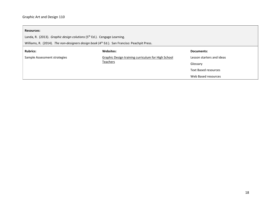#### **Resources:**

Landa, R. (2013). *Graphic design colutions* (5<sup>th</sup> Ed.). Cengage Learning.

Williams, R. (2014). *The non-designers design book* (4th Ed.). San Franciso: Peachpit Press.

| <b>Rubrics:</b>              | Websites:                                          | Documents:                  |
|------------------------------|----------------------------------------------------|-----------------------------|
| Sample Assessment strategies | Graphic Design training curriculum for High School | Lesson starters and ideas   |
|                              | Teachers                                           | Glossary                    |
|                              |                                                    | <b>Text Based resources</b> |
|                              |                                                    | Web Based resources         |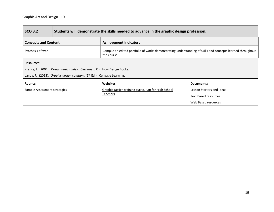| <b>SCO 3.2</b>                                                                      | Students will demonstrate the skills needed to advance in the graphic design profession. |                                                                                                                          |                             |
|-------------------------------------------------------------------------------------|------------------------------------------------------------------------------------------|--------------------------------------------------------------------------------------------------------------------------|-----------------------------|
| <b>Concepts and Content</b>                                                         |                                                                                          | <b>Achievement Indicators</b>                                                                                            |                             |
| Synthesis of work                                                                   |                                                                                          | Compile an edited portfolio of works demonstrating understanding of skills and concepts learned throughout<br>the course |                             |
| <b>Resources:</b>                                                                   |                                                                                          |                                                                                                                          |                             |
| Krause, J. (2004). <i>Design basics index.</i> Cincinnati, OH: How Design Books.    |                                                                                          |                                                                                                                          |                             |
| Landa, R. (2013). Graphic design colutions (5 <sup>th</sup> Ed.). Cengage Learning. |                                                                                          |                                                                                                                          |                             |
| <b>Rubrics:</b>                                                                     |                                                                                          | Websites:                                                                                                                | Documents:                  |
| Sample Assessment strategies                                                        |                                                                                          | Graphic Design training curriculum for High School<br>Teachers                                                           | Lesson Starters and Ideas   |
|                                                                                     |                                                                                          |                                                                                                                          | <b>Text Based resources</b> |
|                                                                                     |                                                                                          |                                                                                                                          | Web Based resources         |